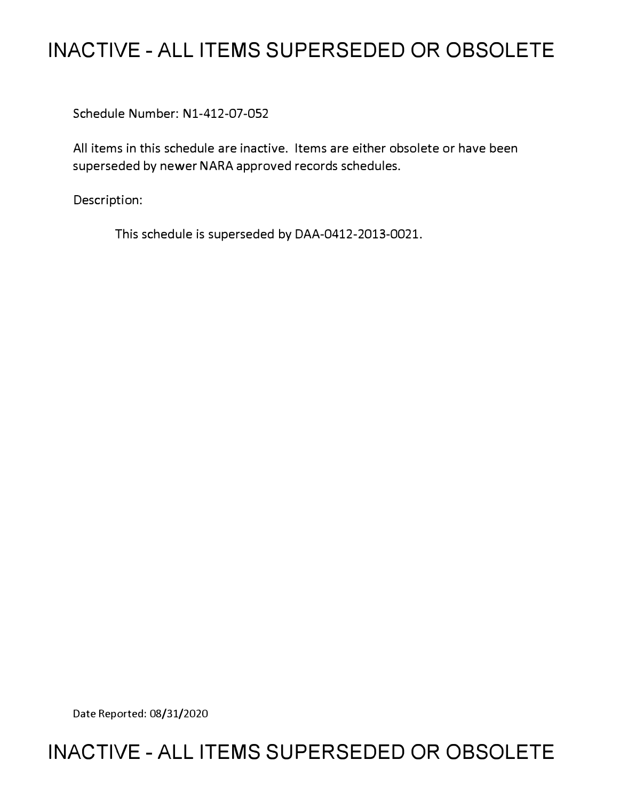# **INACTIVE - ALL ITEMS SUPERSEDED OR OBSOLETE**

Schedule Number: Nl-412-07-052

All items in this schedule are inactive. Items are either obsolete or have been superseded by newer NARA approved records schedules.

Description:

This schedule is superseded by DAA-0412-2013-0021.

Date Reported: 08/31/2020

# **INACTIVE - ALL ITEMS SUPERSEDED OR OBSOLETE**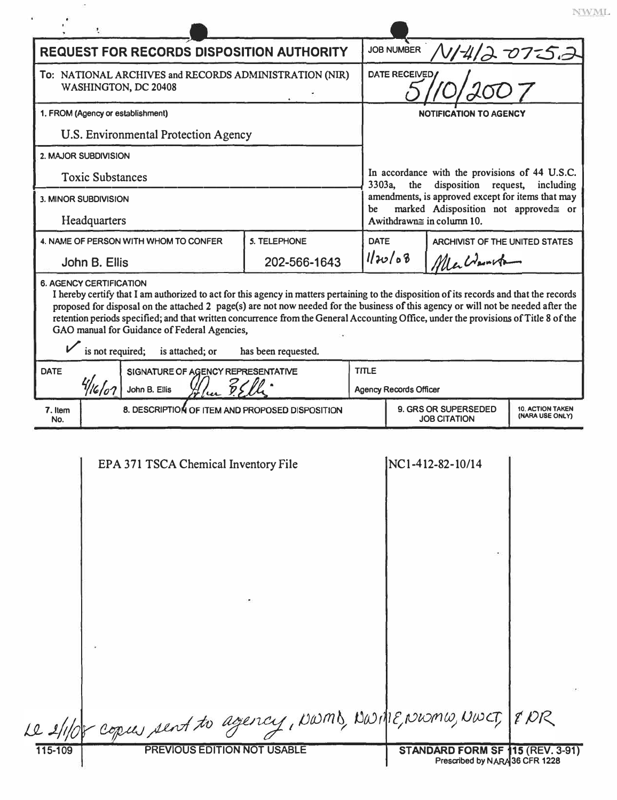| <b>REQUEST FOR RECORDS DISPOSITION AUTHORITY</b>                               |                                                                                                                                                                                                                                                                                                                                                                                                      |                     |              | <b>JOB NUMBER</b><br>V/4/2 OT-52                                                                        |                  |  |  |
|--------------------------------------------------------------------------------|------------------------------------------------------------------------------------------------------------------------------------------------------------------------------------------------------------------------------------------------------------------------------------------------------------------------------------------------------------------------------------------------------|---------------------|--------------|---------------------------------------------------------------------------------------------------------|------------------|--|--|
| To: NATIONAL ARCHIVES and RECORDS ADMINISTRATION (NIR)<br>WASHINGTON, DC 20408 |                                                                                                                                                                                                                                                                                                                                                                                                      |                     |              | <b>DATE RECEIVED</b>                                                                                    |                  |  |  |
| 1. FROM (Agency or establishment)                                              |                                                                                                                                                                                                                                                                                                                                                                                                      |                     |              | <b>NOTIFICATION TO AGENCY</b>                                                                           |                  |  |  |
| <b>U.S. Environmental Protection Agency</b>                                    |                                                                                                                                                                                                                                                                                                                                                                                                      |                     |              |                                                                                                         |                  |  |  |
|                                                                                | 2. MAJOR SUBDIVISION                                                                                                                                                                                                                                                                                                                                                                                 |                     |              |                                                                                                         |                  |  |  |
| <b>Toxic Substances</b>                                                        |                                                                                                                                                                                                                                                                                                                                                                                                      |                     |              | In accordance with the provisions of 44 U.S.C.<br>3303a,<br>the<br>disposition<br>request,<br>including |                  |  |  |
| <b>3. MINOR SUBDIVISION</b>                                                    |                                                                                                                                                                                                                                                                                                                                                                                                      |                     |              | amendments, is approved except for items that may<br>marked Adisposition not approved≅ or<br>be         |                  |  |  |
| Headquarters                                                                   |                                                                                                                                                                                                                                                                                                                                                                                                      |                     |              | Awithdrawn≅ in column 10.                                                                               |                  |  |  |
|                                                                                | 4. NAME OF PERSON WITH WHOM TO CONFER                                                                                                                                                                                                                                                                                                                                                                | <b>5. TELEPHONE</b> |              | <b>DATE</b><br>ARCHIVIST OF THE UNITED STATES<br>1120/08<br>Alla Warrita                                |                  |  |  |
|                                                                                | John B. Ellis                                                                                                                                                                                                                                                                                                                                                                                        | 202-566-1643        |              |                                                                                                         |                  |  |  |
| <b>DATE</b>                                                                    | proposed for disposal on the attached 2 page(s) are not now needed for the business of this agency or will not be needed after the<br>retention periods specified; and that written concurrence from the General Accounting Office, under the provisions of Title 8 of the<br>GAO manual for Guidance of Federal Agencies,<br>is not required; is attached; or<br>SIGNATURE OF AGENCY REPRESENTATIVE | has been requested. | <b>TITLE</b> |                                                                                                         |                  |  |  |
|                                                                                | John B. Ellis                                                                                                                                                                                                                                                                                                                                                                                        |                     |              | <b>Agency Records Officer</b>                                                                           |                  |  |  |
| 7. Item<br>No.                                                                 | 8. DESCRIPTION OF ITEM AND PROPOSED DISPOSITION                                                                                                                                                                                                                                                                                                                                                      |                     |              | 9. GRS OR SUPERSEDED<br><b>10. ACTION TAKEN</b><br>(NARA USE ONLY)<br><b>JOB CITATION</b>               |                  |  |  |
|                                                                                | EPA 371 TSCA Chemical Inventory File                                                                                                                                                                                                                                                                                                                                                                 |                     |              |                                                                                                         | NC1-412-82-10/14 |  |  |
|                                                                                |                                                                                                                                                                                                                                                                                                                                                                                                      |                     |              |                                                                                                         |                  |  |  |

Ì.

|  |  | lot copies sent to agency, NWMB, NWME, NWMW, NWCT, & NR |  |
|--|--|---------------------------------------------------------|--|
|--|--|---------------------------------------------------------|--|

 $\ensuremath{\text{NWML}}$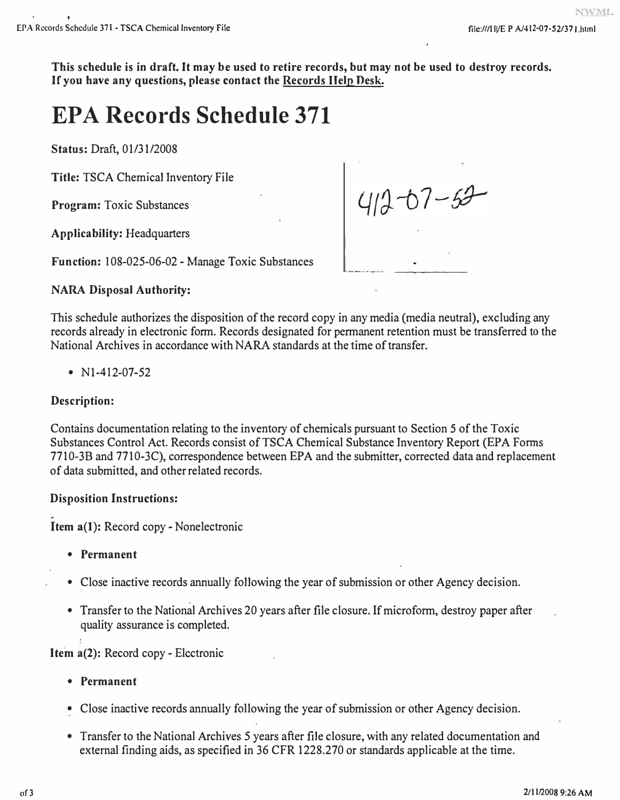**This schedule is in draft. It may be used to retire records, but may not be used to destroy records. If you have any questions, please contact the Records Help Desk.** 

# **EPA Records Schedule 371**

**Status:** Draft, 01/31/2008

**Title:** TSCA Chemical Inventory File

**Program:** Toxic Substances

**Applicability:** Headquarters

**Function:** I 08-025-06-02 - Manage Toxic Substances

 $412 - 67 - 63$ 

### **NARA Disposal Authority:**

This schedule authorizes the disposition of the record copy in any media (media neutral), excluding any records already in electronic form. Records designated for permanent retention must be transferred to the National Archives in accordance with NARA standards at the time of transfer.

• Nl-412-07-52

## **Description:**

Contains documentation relating to the inventory of chemicals pursuant to Section 5 of the Toxic Substances Control Act. Records consist of TSCA Chemical Substance Inventory Report (EPA Forms 7710-3B and 7710-3C), correspondence between EPA and the submitter, corrected data and replacement of data submitted, and other related records.

### **Disposition Instructions:**

**Item a(l):** Record copy- Nonelectronic

- **Permanent**
- Close inactive records annually following the year of submission or other Agency decision.
- Transfer to the National Archives 20 years after file closure. If microform, destroy paper after quality assurance is completed.

**Item a(2): Record copy - Electronic** 

- **Permanent**
- Close inactive records annually following the year of submission or other Agency decision.
- Transfer to the National Archives 5 years after file closure, with any related documentation and external finding aids, as specified in 36 CFR 1228.270 or standards applicable at the time.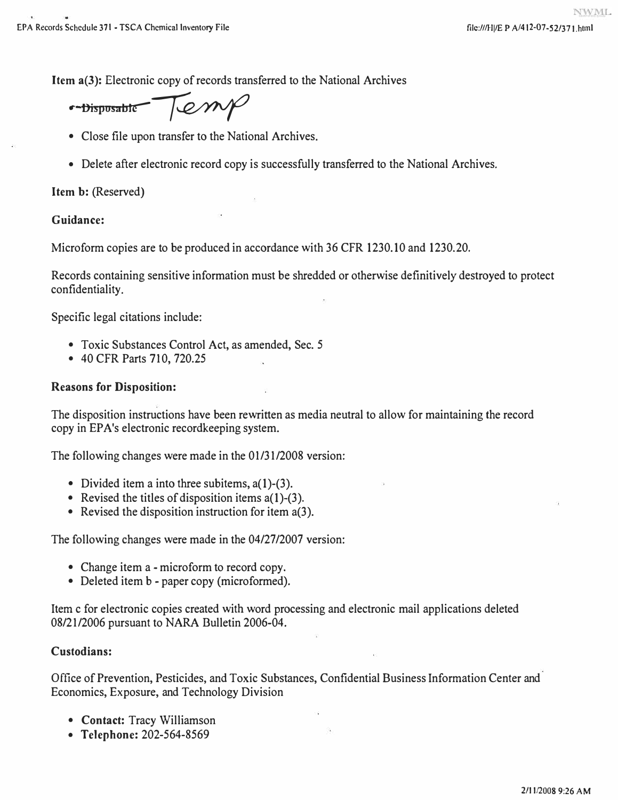**Item a(3): Electronic copy of records transferred to the National Archives** 

- Disposable Temp

- **Close file upon transfer to the National Archives.**
- **Delete after electronic record copy is successfully transferred to the National Archives.**

**Item b: (Reserved)** 

## **Guidance:**

**Microform copies are to be produced in accordance with 36 CFR 1230.10 and 1230.20.** 

**Records containing sensitive information must be shredded or otherwise definitively destroyed to protect confidentiality.** 

**Specific legal citations include:** 

- **Toxic Substances Control Act, as amended, Sec. 5**
- **40 CFR Parts 710, 720.25**

# **Reasons for Disposition:**

**The disposition instructions have been rewritten as media neutral to allow for maintaining the record copy in EP A's electronic recordkeeping system.** 

**The following changes were made in the 0 1/31/2008 version:** 

- **Divided item a into three subitems, a(l)-(3).**
- **Revised the titles of disposition items a(l)-(3).**
- **Revised the disposition instruction for item a(3).**

**The following changes were made in the 04/27/2007 version:** 

- **Change item a - microform to record copy.**
- **Deleted item b - paper copy (microformed).**

**Item c for electronic copies created with word processing and electronic mail applications deleted 08/21/2006 pursuant to NARA Bulletin 2006-04.** 

# **Custodians:**

**Office of Prevention, Pesticides, and Toxic Substances, Confidential Business Information Center and Economics, Exposure, and Technology Division** 

- **Contact: Tracy Williamson**
- **Telephone: 202-564-8569**